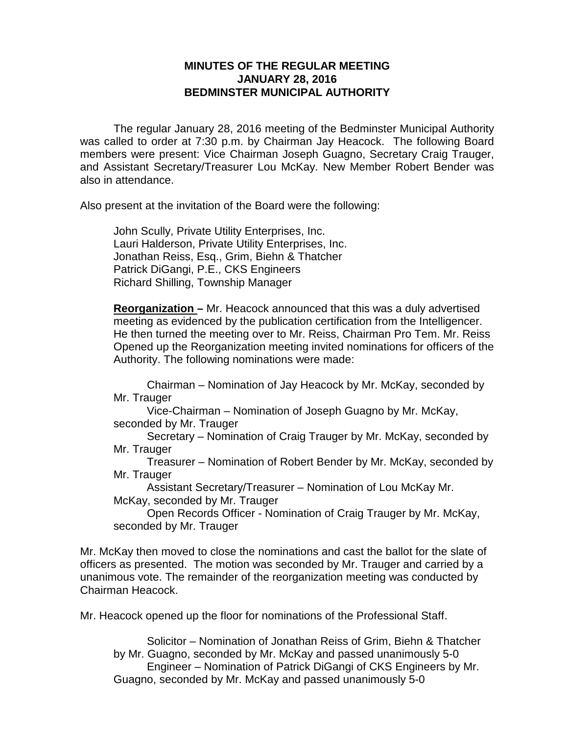## **MINUTES OF THE REGULAR MEETING JANUARY 28, 2016 BEDMINSTER MUNICIPAL AUTHORITY**

The regular January 28, 2016 meeting of the Bedminster Municipal Authority was called to order at 7:30 p.m. by Chairman Jay Heacock. The following Board members were present: Vice Chairman Joseph Guagno, Secretary Craig Trauger, and Assistant Secretary/Treasurer Lou McKay. New Member Robert Bender was also in attendance.

Also present at the invitation of the Board were the following:

John Scully, Private Utility Enterprises, Inc. Lauri Halderson, Private Utility Enterprises, Inc. Jonathan Reiss, Esq., Grim, Biehn & Thatcher Patrick DiGangi, P.E., CKS Engineers Richard Shilling, Township Manager

**Reorganization –** Mr. Heacock announced that this was a duly advertised meeting as evidenced by the publication certification from the Intelligencer. He then turned the meeting over to Mr. Reiss, Chairman Pro Tem. Mr. Reiss Opened up the Reorganization meeting invited nominations for officers of the Authority. The following nominations were made:

Chairman – Nomination of Jay Heacock by Mr. McKay, seconded by Mr. Trauger

Vice-Chairman – Nomination of Joseph Guagno by Mr. McKay, seconded by Mr. Trauger

Secretary – Nomination of Craig Trauger by Mr. McKay, seconded by Mr. Trauger

Treasurer – Nomination of Robert Bender by Mr. McKay, seconded by Mr. Trauger

Assistant Secretary/Treasurer – Nomination of Lou McKay Mr. McKay, seconded by Mr. Trauger

Open Records Officer - Nomination of Craig Trauger by Mr. McKay, seconded by Mr. Trauger

Mr. McKay then moved to close the nominations and cast the ballot for the slate of officers as presented. The motion was seconded by Mr. Trauger and carried by a unanimous vote. The remainder of the reorganization meeting was conducted by Chairman Heacock.

Mr. Heacock opened up the floor for nominations of the Professional Staff.

Solicitor – Nomination of Jonathan Reiss of Grim, Biehn & Thatcher by Mr. Guagno, seconded by Mr. McKay and passed unanimously 5-0 Engineer – Nomination of Patrick DiGangi of CKS Engineers by Mr. Guagno, seconded by Mr. McKay and passed unanimously 5-0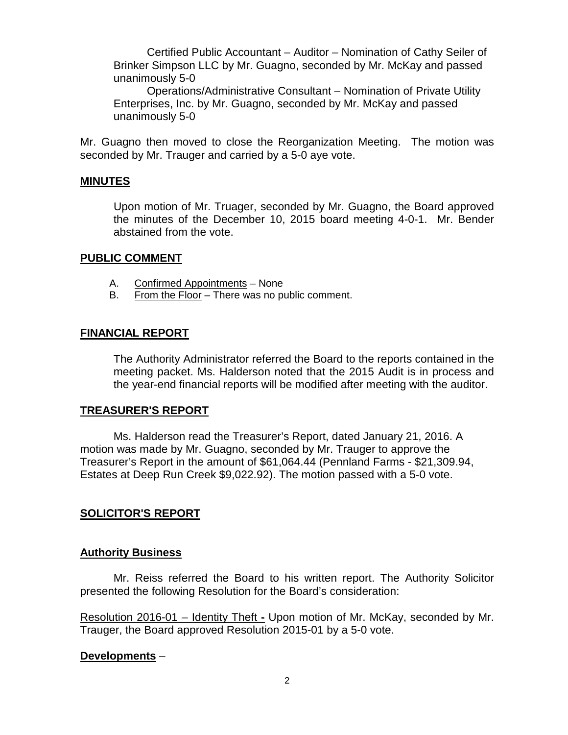Certified Public Accountant – Auditor – Nomination of Cathy Seiler of Brinker Simpson LLC by Mr. Guagno, seconded by Mr. McKay and passed unanimously 5-0

Operations/Administrative Consultant – Nomination of Private Utility Enterprises, Inc. by Mr. Guagno, seconded by Mr. McKay and passed unanimously 5-0

Mr. Guagno then moved to close the Reorganization Meeting. The motion was seconded by Mr. Trauger and carried by a 5-0 aye vote.

### **MINUTES**

Upon motion of Mr. Truager, seconded by Mr. Guagno, the Board approved the minutes of the December 10, 2015 board meeting 4-0-1. Mr. Bender abstained from the vote.

#### **PUBLIC COMMENT**

- A. Confirmed Appointments None
- B. From the Floor There was no public comment.

## **FINANCIAL REPORT**

The Authority Administrator referred the Board to the reports contained in the meeting packet. Ms. Halderson noted that the 2015 Audit is in process and the year-end financial reports will be modified after meeting with the auditor.

### **TREASURER'S REPORT**

Ms. Halderson read the Treasurer's Report, dated January 21, 2016. A motion was made by Mr. Guagno, seconded by Mr. Trauger to approve the Treasurer's Report in the amount of \$61,064.44 (Pennland Farms - \$21,309.94, Estates at Deep Run Creek \$9,022.92). The motion passed with a 5-0 vote.

### **SOLICITOR'S REPORT**

### **Authority Business**

Mr. Reiss referred the Board to his written report. The Authority Solicitor presented the following Resolution for the Board's consideration:

Resolution 2016-01 – Identity Theft **-** Upon motion of Mr. McKay, seconded by Mr. Trauger, the Board approved Resolution 2015-01 by a 5-0 vote.

### **Developments** –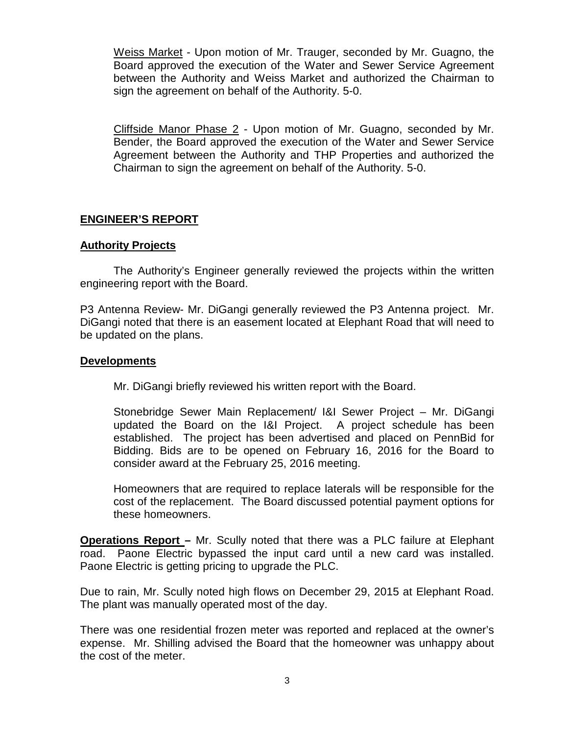Weiss Market - Upon motion of Mr. Trauger, seconded by Mr. Guagno, the Board approved the execution of the Water and Sewer Service Agreement between the Authority and Weiss Market and authorized the Chairman to sign the agreement on behalf of the Authority. 5-0.

Cliffside Manor Phase 2 - Upon motion of Mr. Guagno, seconded by Mr. Bender, the Board approved the execution of the Water and Sewer Service Agreement between the Authority and THP Properties and authorized the Chairman to sign the agreement on behalf of the Authority. 5-0.

## **ENGINEER'S REPORT**

### **Authority Projects**

The Authority's Engineer generally reviewed the projects within the written engineering report with the Board.

P3 Antenna Review- Mr. DiGangi generally reviewed the P3 Antenna project. Mr. DiGangi noted that there is an easement located at Elephant Road that will need to be updated on the plans.

#### **Developments**

Mr. DiGangi briefly reviewed his written report with the Board.

Stonebridge Sewer Main Replacement/ I&I Sewer Project – Mr. DiGangi updated the Board on the I&I Project. A project schedule has been established. The project has been advertised and placed on PennBid for Bidding. Bids are to be opened on February 16, 2016 for the Board to consider award at the February 25, 2016 meeting.

Homeowners that are required to replace laterals will be responsible for the cost of the replacement. The Board discussed potential payment options for these homeowners.

**Operations Report –** Mr. Scully noted that there was a PLC failure at Elephant road. Paone Electric bypassed the input card until a new card was installed. Paone Electric is getting pricing to upgrade the PLC.

Due to rain, Mr. Scully noted high flows on December 29, 2015 at Elephant Road. The plant was manually operated most of the day.

There was one residential frozen meter was reported and replaced at the owner's expense. Mr. Shilling advised the Board that the homeowner was unhappy about the cost of the meter.